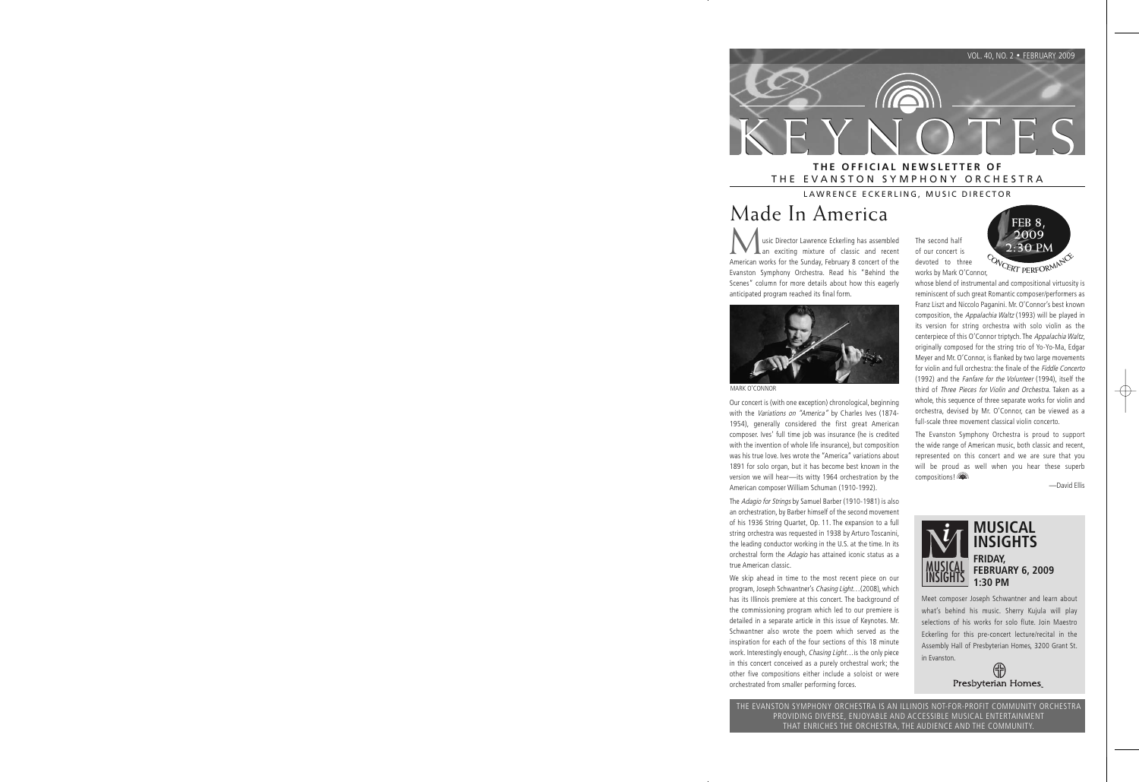

# THE EVANSTON SYMPHONY ORCHESTRA

LAWRENCE ECKERLING, MUSIC DIRECTOR

# Made In America

**Music Director Lawrence Eckerling has assembled**<br>an exciting mixture of classic and recent<br>American works for the Sunday Ephruary 8 concert of the American works for the Sunday, February 8 concert of the Evanston Symphony Orchestra. Read his "Behind the Scenes" column for more details about how this eagerly anticipated program reached its final form.



MARK O'CONNOR

Our concert is (with one exception) chronological, beginning with the Variations on "America" by Charles Ives (1874-1954), generally considered the first great American composer. Ives' full time job was insurance (he is credited with the invention of whole life insurance), but composition was his true love. Ives wrote the "America" variations about 1891 for solo organ, but it has become best known in the version we will hear—its witty 1964 orchestration by the American composer William Schuman (1910-1992).

The Adagio for Strings by Samuel Barber (1910-1981) is also an orchestration, by Barber himself of the second movement of his 1936 String Quartet, Op. 11. The expansion to a full string orchestra was requested in 1938 by Arturo Toscanini, the leading conductor working in the U.S. at the time. In its orchestral form the Adagio has attained iconic status as a true American classic.

We skip ahead in time to the most recent piece on our program, Joseph Schwantner's Chasing Light…(2008), which has its Illinois premiere at this concert. The background of the commissioning program which led to our premiere is detailed in a separate article in this issue of Keynotes. Mr. Schwantner also wrote the poem which served as the inspiration for each of the four sections of this 18 minute work. Interestingly enough, Chasing Light... is the only piece in this concert conceived as a purely orchestral work; the other five compositions either include a soloist or were orchestrated from smaller performing forces.

The second half of our concert is devoted to three works by Mark O'Connor,



whose blend of instrumental and compositional virtuosity is reminiscent of such great Romantic composer/performers as Franz Liszt and Niccolo Paganini. Mr. O'Connor's best known composition, the Appalachia Waltz (1993) will be played in its version for string orchestra with solo violin as the centerpiece of this O'Connor triptych. The Appalachia Waltz, originally composed for the string trio of Yo-Yo-Ma, Edgar Meyer and Mr. O'Connor, is flanked by two large movements for violin and full orchestra: the finale of the Fiddle Concerto (1992) and the Fanfare for the Volunteer (1994), itself the third of Three Pieces for Violin and Orchestra. Taken as a whole, this sequence of three separate works for violin and orchestra, devised by Mr. O'Connor, can be viewed as a full-scale three movement classical violin concerto.

The Evanston Symphony Orchestra is proud to support the wide range of American music, both classic and recent, represented on this concert and we are sure that you will be proud as well when you hear these superb compositions!

—David Ellis



Meet composer Joseph Schwantner and learn about what's behind his music. Sherry Kujula will play selections of his works for solo flute. Join Maestro Eckerling for this pre-concert lecture/recital in the Assembly Hall of Presbyterian Homes, 3200 Grant St. in Evanston.

JĒ Presbyterian Homes

THE EVANSTON SYMPHONY ORCHESTRA IS AN ILLINOIS NOT-FOR-PROFIT COMMUNITY ORCHESTRA PROVIDING DIVERSE, ENJOYABLE AND ACCESSIBLE MUSICAL ENTERTAINMENT THAT ENRICHES THE ORCHESTRA, THE AUDIENCE AND THE COMMUNITY.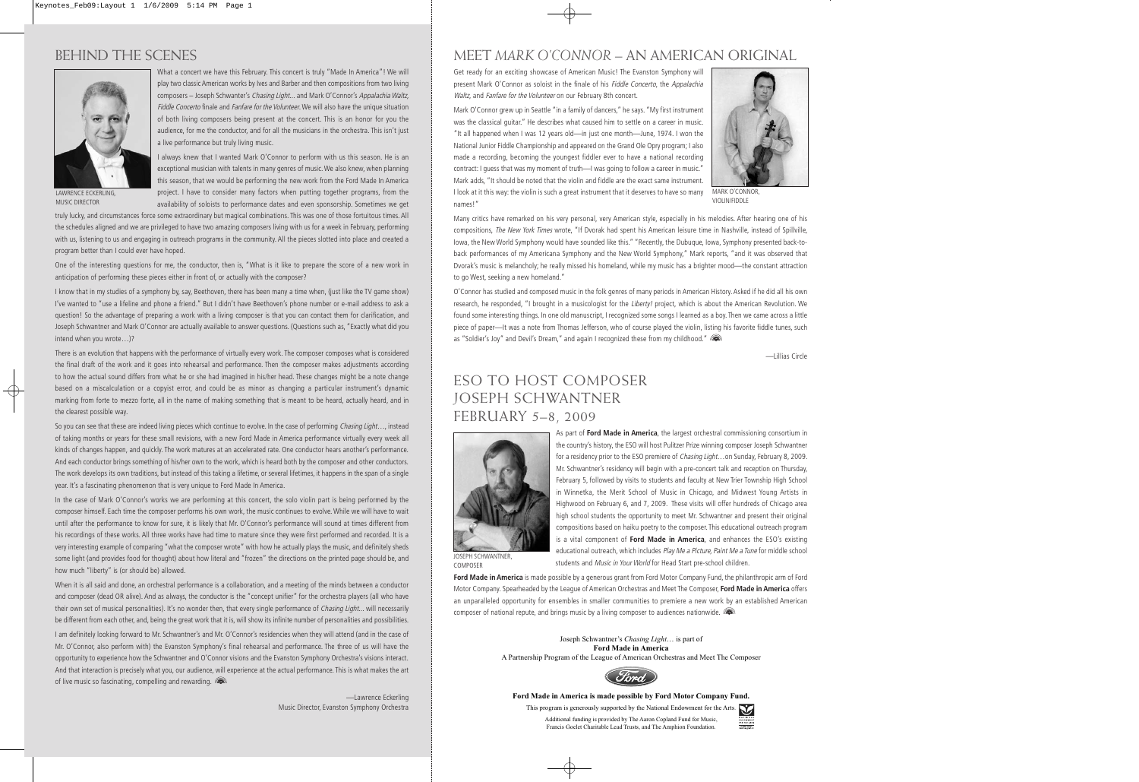## BEHIND THE SCENES



What a concert we have this February. This concert is truly "Made In America"! We will play two classic American works by Ives and Barber and then compositions from two living composers – Joseph Schwanter's Chasing Light... and Mark O'Connor's Appalachia Waltz, Fiddle Concerto finale and Fanfare for the Volunteer. We will also have the unique situation of both living composers being present at the concert. This is an honor for you the audience, for me the conductor, and for all the musicians in the orchestra. This isn't just a live performance but truly living music.

LAWRENCE ECKERLING,

MUSIC DIRECTOR

I always knew that I wanted Mark O'Connor to perform with us this season. He is an exceptional musician with talents in many genres of music. We also knew, when planning this season, that we would be performing the new work from the Ford Made In America project. I have to consider many factors when putting together programs, from the availability of soloists to performance dates and even sponsorship. Sometimes we get

truly lucky, and circumstances force some extraordinary but magical combinations. This was one of those fortuitous times. All the schedules aligned and we are privileged to have two amazing composers living with us for a week in February, performing with us, listening to us and engaging in outreach programs in the community. All the pieces slotted into place and created a program better than I could ever have hoped.

One of the interesting questions for me, the conductor, then is, "What is it like to prepare the score of a new work in anticipation of performing these pieces either in front of, or actually with the composer?

I know that in my studies of a symphony by, say, Beethoven, there has been many a time when, (just like the TV game show) I've wanted to "use a lifeline and phone a friend." But I didn't have Beethoven's phone number or e-mail address to ask a question! So the advantage of preparing a work with a living composer is that you can contact them for clarification, and Joseph Schwantner and Mark O'Connor are actually available to answer questions. (Questions such as, "Exactly what did you intend when you wrote…)?

There is an evolution that happens with the performance of virtually every work. The composer composes what is considered the final draft of the work and it goes into rehearsal and performance. Then the composer makes adjustments according to how the actual sound differs from what he or she had imagined in his/her head. These changes might be a note change based on a miscalculation or a copyist error, and could be as minor as changing a particular instrument's dynamic marking from forte to mezzo forte, all in the name of making something that is meant to be heard, actually heard, and in the clearest possible way.

So you can see that these are indeed living pieces which continue to evolve. In the case of performing Chasing Light..., instead of taking months or years for these small revisions, with a new Ford Made in America performance virtually every week all kinds of changes happen, and quickly. The work matures at an accelerated rate. One conductor hears another's performance. And each conductor brings something of his/her own to the work, which is heard both by the composer and other conductors. The work develops its own traditions, but instead of this taking a lifetime, or several lifetimes, it happens in the span of a single year. It's a fascinating phenomenon that is very unique to Ford Made In America.

In the case of Mark O'Connor's works we are performing at this concert, the solo violin part is being performed by the composer himself. Each time the composer performs his own work, the music continues to evolve. While we will have to wait until after the performance to know for sure, it is likely that Mr. O'Connor's performance will sound at times different from his recordings of these works. All three works have had time to mature since they were first performed and recorded. It is a very interesting example of comparing "what the composer wrote" with how he actually plays the music, and definitely sheds some light (and provides food for thought) about how literal and "frozen" the directions on the printed page should be, and how much "liberty" is (or should be) allowed.

When it is all said and done, an orchestral performance is a collaboration, and a meeting of the minds between a conductor and composer (dead OR alive). And as always, the conductor is the "concept unifier" for the orchestra players (all who have their own set of musical personalities). It's no wonder then, that every single performance of Chasing Light... will necessarily be different from each other, and, being the great work that it is, will show its infinite number of personalities and possibilities.

I am definitely looking forward to Mr. Schwantner's and Mr. O'Connor's residencies when they will attend (and in the case of Mr. O'Connor, also perform with) the Evanston Symphony's final rehearsal and performance. The three of us will have the opportunity to experience how the Schwantner and O'Connor visions and the Evanston Symphony Orchestra's visions interact. And that interaction is precisely what you, our audience, will experience at the actual performance. This is what makes the art of live music so fascinating, compelling and rewarding.

> —Lawrence Eckerling Music Director, Evanston Symphony Orchestra

### MEET *MARK O'CONNOR* – AN AMERICAN ORIGINAL

Get ready for an exciting showcase of American Music! The Evanston Symphony will present Mark O'Connor as soloist in the finale of his Fiddle Concerto, the Appalachia Waltz, and Fanfare for the Volunteer on our February 8th concert.

Mark O'Connor grew up in Seattle "in a family of dancers," he says. "My first instrument was the classical guitar." He describes what caused him to settle on a career in music. "It all happened when I was 12 years old—in just one month—June, 1974. I won the National Junior Fiddle Championship and appeared on the Grand Ole Opry program; I also made a recording, becoming the youngest fiddler ever to have a national recording contract: I guess that was my moment of truth—I was going to follow a career in music." Mark adds, "It should be noted that the violin and fiddle are the exact same instrument. I look at it this way: the violin is such a great instrument that it deserves to have so many names!"



MARK O'CONNOR, VIOLIN/FIDDLE

Many critics have remarked on his very personal, very American style, especially in his melodies. After hearing one of his compositions, The New York Times wrote, "If Dvorak had spent his American leisure time in Nashville, instead of Spillville, Iowa, the New World Symphony would have sounded like this." "Recently, the Dubuque, Iowa, Symphony presented back-toback performances of my Americana Symphony and the New World Symphony," Mark reports, "and it was observed that Dvorak's music is melancholy; he really missed his homeland, while my music has a brighter mood—the constant attraction to go West, seeking a new homeland."

O'Connor has studied and composed music in the folk genres of many periods in American History. Asked if he did all his own research, he responded, "I brought in a musicologist for the Liberty! project, which is about the American Revolution. We found some interesting things. In one old manuscript, I recognized some songs I learned as a boy. Then we came across a little piece of paper—It was a note from Thomas Jefferson, who of course played the violin, listing his favorite fiddle tunes, such as "Soldier's Joy" and Devil's Dream," and again I recognized these from my childhood." ( $\blacksquare$ )

—Lillias Circle

### ESO TO HOST COMPOSER JOSEPH SCHWANTNER FEBRUARY 5–8, 2009



As part of **Ford Made in America**, the largest orchestral commissioning consortium in the country's history, the ESO will host Pulitzer Prize winning composer Joseph Schwantner for a residency prior to the ESO premiere of *Chasing Light*...on Sunday, February 8, 2009. Mr. Schwantner's residency will begin with a pre-concert talk and reception on Thursday, February 5, followed by visits to students and faculty at New Trier Township High School in Winnetka, the Merit School of Music in Chicago, and Midwest Young Artists in Highwood on February 6, and 7, 2009. These visits will offer hundreds of Chicago area high school students the opportunity to meet Mr. Schwantner and present their original compositions based on haiku poetry to the composer. This educational outreach program is a vital component of **Ford Made in America**, and enhances the ESO's existing educational outreach, which includes Play Me a Picture, Paint Me a Tune for middle school students and Music in Your World for Head Start pre-school children.

JOSEPH SCHWANTNER, **COMPOSER** 

**Ford Made in America** is made possible by a generous grant from Ford Motor Company Fund, the philanthropic arm of Ford Motor Company. Spearheaded by the League of American Orchestras and Meet The Composer, **Ford Made in America** offers an unparalleled opportunity for ensembles in smaller communities to premiere a new work by an established American composer of national repute, and brings music by a living composer to audiences nationwide.

> Joseph Schwantner's *Chasing Light*… is part of **Ford Made in America** A Partnership Program of the League of American Orchestras and Meet The Composer



#### **Ford Made in America is made possible by Ford Motor Company Fund.**

Francis Goelet Charitable Lead Trusts, and The Amphion Foundation.

This program is generously supported by the National Endowment for the Arts. Additional funding is provided by The Aaron Copland Fund for Music,

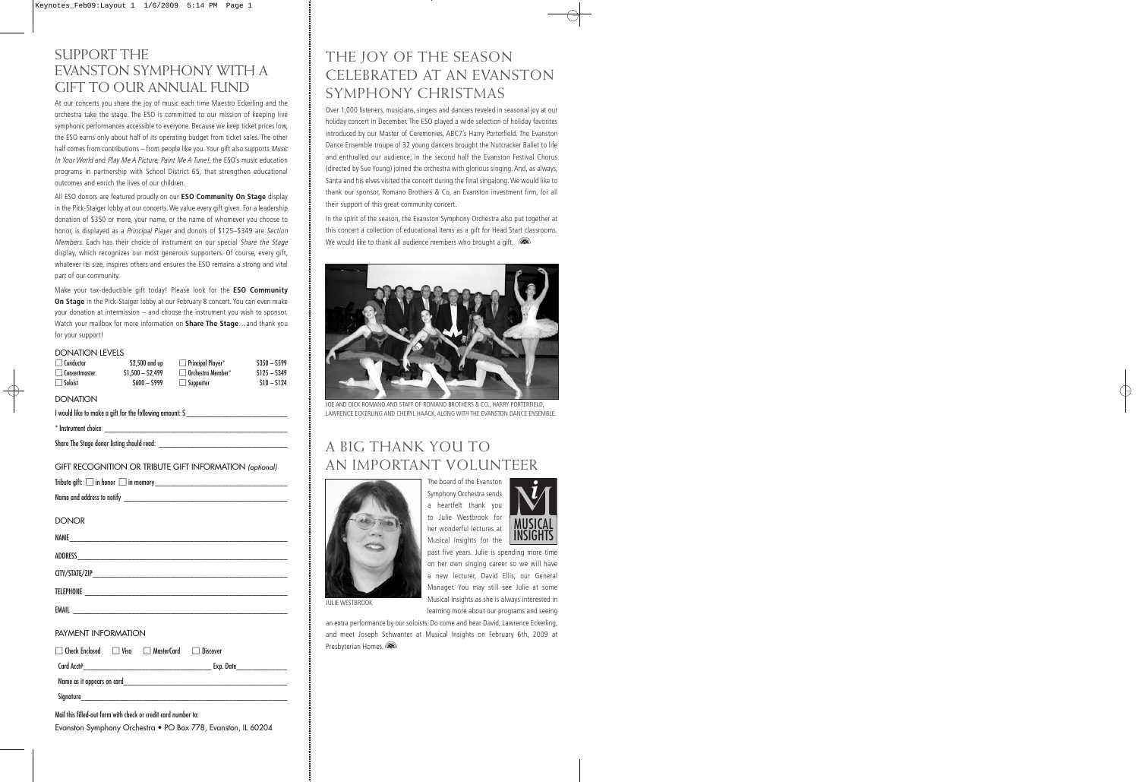### SUPPORT THE EVANSTON SYMPHONY WITH A GIFT TO OUR ANNUAL FUND

At our concerts you share the joy of music each time Maestro Eckerling and the orchestra take the stage. The ESO is committed to our mission of keeping live symphonic performances accessible to everyone. Because we keep ticket prices low, the ESO earns only about half of its operating budget from ticket sales. The other half comes from contributions – from people like you. Your gift also supports Music In Your World and Play Me A Picture, Paint Me A Tune!, the ESO's music education programs in partnership with School District 65, that strengthen educational outcomes and enrich the lives of our children.

All ESO donors are featured proudly on our **ESO Community On Stage** display in the Pick-Staiger lobby at our concerts. We value every gift given. For a leadership donation of \$350 or more, your name, or the name of whomever you choose to honor, is displayed as a Principal Player and donors of \$125–\$349 are Section Members. Each has their choice of instrument on our special Share the Stage display, which recognizes our most generous supporters. Of course, every gift, whatever its size, inspires others and ensures the ESO remains a strong and vital part of our community.

Make your tax-deductible gift today! Please look for the **ESO Community On Stage** in the Pick-Staiger lobby at our February 8 concert. You can even make your donation at intermission – and choose the instrument you wish to sponsor. Watch your mailbox for more information on **Share The Stage**…and thank you for your support!

#### DONATION LEVELS

| $\Box$ Conductor | \$2,500 and up    | $\Box$ Principal Player $^*$ | $$350 - $599$ |
|------------------|-------------------|------------------------------|---------------|
| Concertmaster    | $S1.500 - S2.499$ | $\Box$ Orchestra Member*     | $S125 - S349$ |
| Soloist          | $S600 - S999$     | $\Box$ Supporter             | $S10 - S124$  |

#### **DONATION**

I would like to make a gift for the following amount: \$\_\_\_\_\_\_\_\_\_\_\_\_\_\_\_\_\_\_\_\_\_\_\_\_\_\_

 $^*$  Instrument choice  $\_\_$ 

Share The Stage donor listing should read:

| GIFT RECOGNITION OR TRIBUTE GIFT INFORMATION (optional) |  |
|---------------------------------------------------------|--|
|---------------------------------------------------------|--|

| <b>DONOR</b> |  |  |
|--------------|--|--|
| NAME         |  |  |
|              |  |  |
|              |  |  |
|              |  |  |
|              |  |  |
|              |  |  |

#### PAYMENT INFORMATION

□ Check Enclosed □ Visa □ MasterCard □ Discover Card Acct# Exp. Date

Name as it appears on card

Signature\_\_\_\_\_\_\_\_\_\_\_\_\_\_\_\_\_\_\_\_\_\_\_\_\_\_\_\_\_\_\_\_\_\_\_\_\_\_\_\_\_\_\_\_\_\_\_\_\_\_\_\_\_

Mail this filled-out form with check or credit card number to: Evanston Symphony Orchestra • PO Box 778, Evanston, IL 60204

### THE JOY OF THE SEASON CELEBRATED AT AN EVANSTON SYMPHONY CHRISTMAS

Over 1,000 listeners, musicians, singers and dancers reveled in seasonal joy at our holiday concert in December. The ESO played a wide selection of holiday favorites introduced by our Master of Ceremonies, ABC7's Harry Porterfield. The Evanston Dance Ensemble troupe of 32 young dancers brought the Nutcracker Ballet to life and enthralled our audience; in the second half the Evanston Festival Chorus (directed by Sue Young) joined the orchestra with glorious singing. And, as always, Santa and his elves visited the concert during the final singalong. We would like to thank our sponsor, Romano Brothers & Co, an Evanston investment firm, for all their support of this great community concert.

In the spirit of the season, the Evanston Symphony Orchestra also put together at this concert a collection of educational items as a gift for Head Start classrooms. We would like to thank all audience members who brought a gift.  $\sqrt{2}$ 



JOE AND DICK ROMANO AND STAFF OF ROMANO BROTHERS & CO., HARRY PORTERFIELD, LAWRENCE ECKERLING AND CHERYL HAACK, ALONG WITH THE EVANSTON DANCE ENSEMBLE.

## A BIG THANK YOU TO AN IMPORTANT VOLUNTEER



The board of the Evanston Symphony Orchestra sends a heartfelt thank you to Julie Westbrook for her wonderful lectures at Musical Insights for the



past five years. Julie is spending more time on her own singing career so we will have a new lecturer, David Ellis, our General Manager. You may still see Julie at some Musical Insights as she is always interested in learning more about our programs and seeing

JULIE WESTBROOK

an extra performance by our soloists. Do come and hear David, Lawrence Eckerling, and meet Joseph Schwanter at Musical Insights on February 6th, 2009 at Presbyterian Homes.